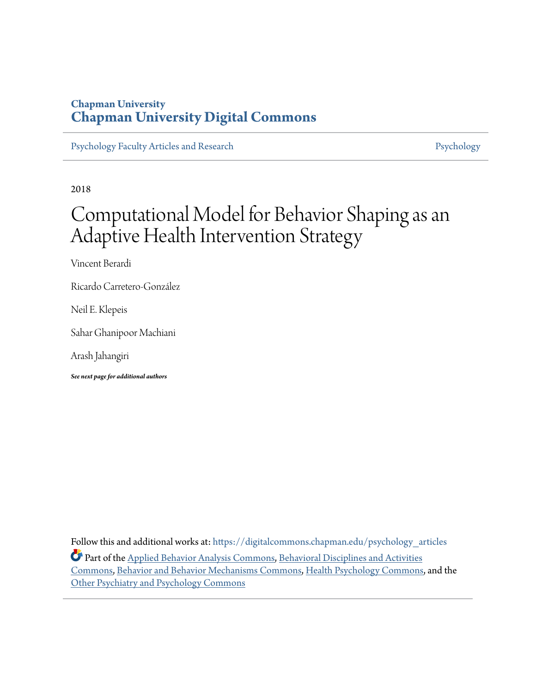## **Chapman University [Chapman University Digital Commons](https://digitalcommons.chapman.edu?utm_source=digitalcommons.chapman.edu%2Fpsychology_articles%2F113&utm_medium=PDF&utm_campaign=PDFCoverPages)**

[Psychology Faculty Articles and Research](https://digitalcommons.chapman.edu/psychology_articles?utm_source=digitalcommons.chapman.edu%2Fpsychology_articles%2F113&utm_medium=PDF&utm_campaign=PDFCoverPages) **[Psychology](https://digitalcommons.chapman.edu/psychology?utm_source=digitalcommons.chapman.edu%2Fpsychology_articles%2F113&utm_medium=PDF&utm_campaign=PDFCoverPages)** Psychology

2018

# Computational Model for Behavior Shaping as an Adaptive Health Intervention Strategy

Vincent Berardi

Ricardo Carretero-González

Neil E. Klepeis

Sahar Ghanipoor Machiani

Arash Jahangiri

*See next page for additional authors*

Follow this and additional works at: [https://digitalcommons.chapman.edu/psychology\\_articles](https://digitalcommons.chapman.edu/psychology_articles?utm_source=digitalcommons.chapman.edu%2Fpsychology_articles%2F113&utm_medium=PDF&utm_campaign=PDFCoverPages) Part of the [Applied Behavior Analysis Commons](http://network.bepress.com/hgg/discipline/1235?utm_source=digitalcommons.chapman.edu%2Fpsychology_articles%2F113&utm_medium=PDF&utm_campaign=PDFCoverPages), [Behavioral Disciplines and Activities](http://network.bepress.com/hgg/discipline/980?utm_source=digitalcommons.chapman.edu%2Fpsychology_articles%2F113&utm_medium=PDF&utm_campaign=PDFCoverPages) [Commons,](http://network.bepress.com/hgg/discipline/980?utm_source=digitalcommons.chapman.edu%2Fpsychology_articles%2F113&utm_medium=PDF&utm_campaign=PDFCoverPages) [Behavior and Behavior Mechanisms Commons,](http://network.bepress.com/hgg/discipline/963?utm_source=digitalcommons.chapman.edu%2Fpsychology_articles%2F113&utm_medium=PDF&utm_campaign=PDFCoverPages) [Health Psychology Commons,](http://network.bepress.com/hgg/discipline/411?utm_source=digitalcommons.chapman.edu%2Fpsychology_articles%2F113&utm_medium=PDF&utm_campaign=PDFCoverPages) and the [Other Psychiatry and Psychology Commons](http://network.bepress.com/hgg/discipline/992?utm_source=digitalcommons.chapman.edu%2Fpsychology_articles%2F113&utm_medium=PDF&utm_campaign=PDFCoverPages)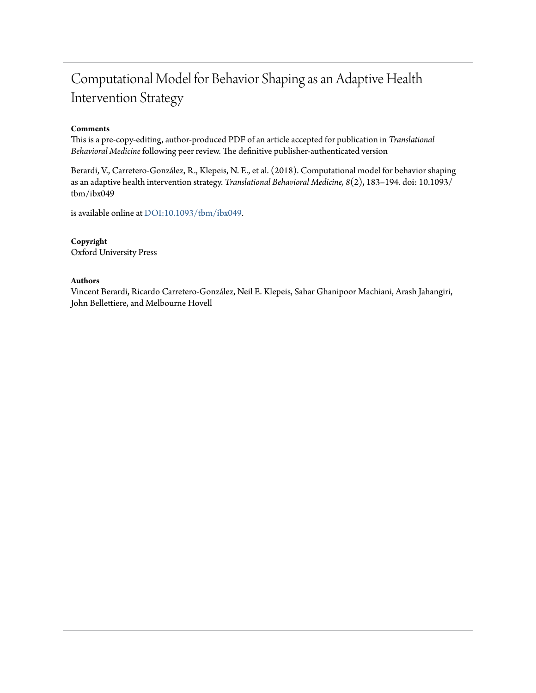## Computational Model for Behavior Shaping as an Adaptive Health Intervention Strategy

## **Comments**

This is a pre-copy-editing, author-produced PDF of an article accepted for publication in *Translational Behavioral Medicine* following peer review. The definitive publisher-authenticated version

Berardi, V., Carretero-González, R., Klepeis, N. E., et al. (2018). Computational model for behavior shaping as an adaptive health intervention strategy. *Translational Behavioral Medicine, 8*(2), 183–194. doi: 10.1093/ tbm/ibx049

is available online at [DOI:10.1093/tbm/ibx049](https://doi.org/10.1093/tbm/ibx049).

**Copyright** Oxford University Press

## **Authors**

Vincent Berardi, Ricardo Carretero-González, Neil E. Klepeis, Sahar Ghanipoor Machiani, Arash Jahangiri, John Bellettiere, and Melbourne Hovell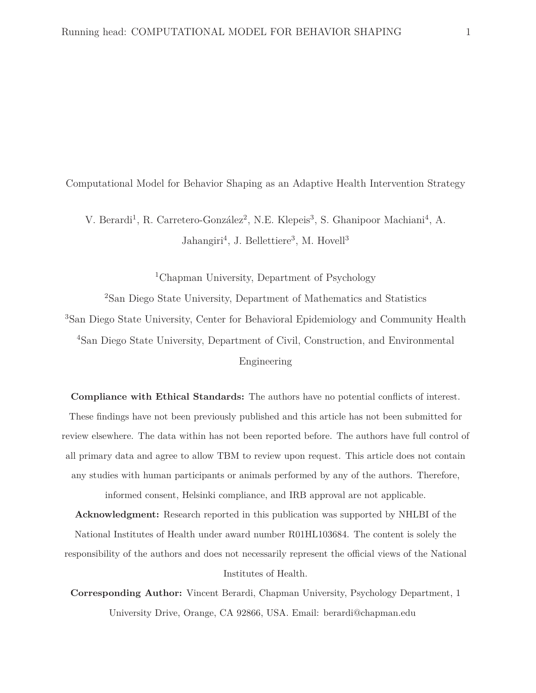Computational Model for Behavior Shaping as an Adaptive Health Intervention Strategy

V. Berardi<sup>1</sup>, R. Carretero-González<sup>2</sup>, N.E. Klepeis<sup>3</sup>, S. Ghanipoor Machiani<sup>4</sup>, A. Jahangiri<sup>4</sup>, J. Bellettiere<sup>3</sup>, M. Hovell<sup>3</sup>

<sup>1</sup>Chapman University, Department of Psychology

<sup>2</sup>San Diego State University, Department of Mathematics and Statistics

<sup>3</sup>San Diego State University, Center for Behavioral Epidemiology and Community Health <sup>4</sup>San Diego State University, Department of Civil, Construction, and Environmental

## Engineering

**Compliance with Ethical Standards:** The authors have no potential conflicts of interest. These findings have not been previously published and this article has not been submitted for review elsewhere. The data within has not been reported before. The authors have full control of all primary data and agree to allow TBM to review upon request. This article does not contain any studies with human participants or animals performed by any of the authors. Therefore,

informed consent, Helsinki compliance, and IRB approval are not applicable.

**Acknowledgment:** Research reported in this publication was supported by NHLBI of the

National Institutes of Health under award number R01HL103684. The content is solely the responsibility of the authors and does not necessarily represent the official views of the National Institutes of Health.

**Corresponding Author:** Vincent Berardi, Chapman University, Psychology Department, 1 University Drive, Orange, CA 92866, USA. Email: berardi@chapman.edu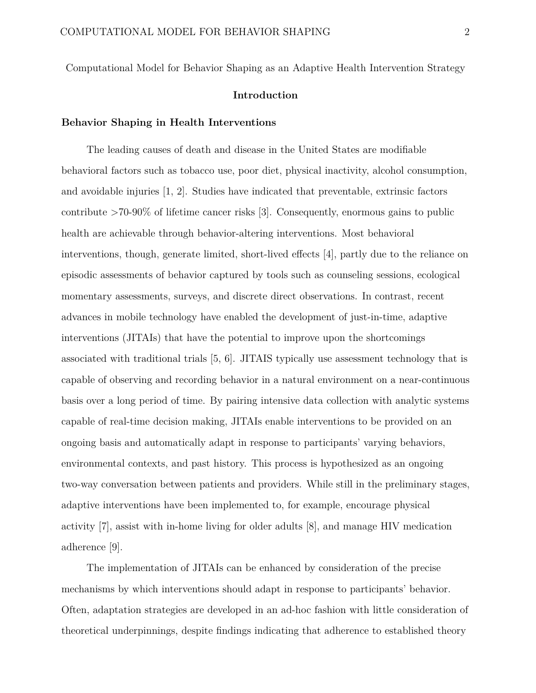Computational Model for Behavior Shaping as an Adaptive Health Intervention Strategy

#### **Introduction**

## **Behavior Shaping in Health Interventions**

The leading causes of death and disease in the United States are modifiable behavioral factors such as tobacco use, poor diet, physical inactivity, alcohol consumption, and avoidable injuries [1, 2]. Studies have indicated that preventable, extrinsic factors contribute *>*70-90% of lifetime cancer risks [3]. Consequently, enormous gains to public health are achievable through behavior-altering interventions. Most behavioral interventions, though, generate limited, short-lived effects [4], partly due to the reliance on episodic assessments of behavior captured by tools such as counseling sessions, ecological momentary assessments, surveys, and discrete direct observations. In contrast, recent advances in mobile technology have enabled the development of just-in-time, adaptive interventions (JITAIs) that have the potential to improve upon the shortcomings associated with traditional trials [5, 6]. JITAIS typically use assessment technology that is capable of observing and recording behavior in a natural environment on a near-continuous basis over a long period of time. By pairing intensive data collection with analytic systems capable of real-time decision making, JITAIs enable interventions to be provided on an ongoing basis and automatically adapt in response to participants' varying behaviors, environmental contexts, and past history. This process is hypothesized as an ongoing two-way conversation between patients and providers. While still in the preliminary stages, adaptive interventions have been implemented to, for example, encourage physical activity [7], assist with in-home living for older adults [8], and manage HIV medication adherence [9].

The implementation of JITAIs can be enhanced by consideration of the precise mechanisms by which interventions should adapt in response to participants' behavior. Often, adaptation strategies are developed in an ad-hoc fashion with little consideration of theoretical underpinnings, despite findings indicating that adherence to established theory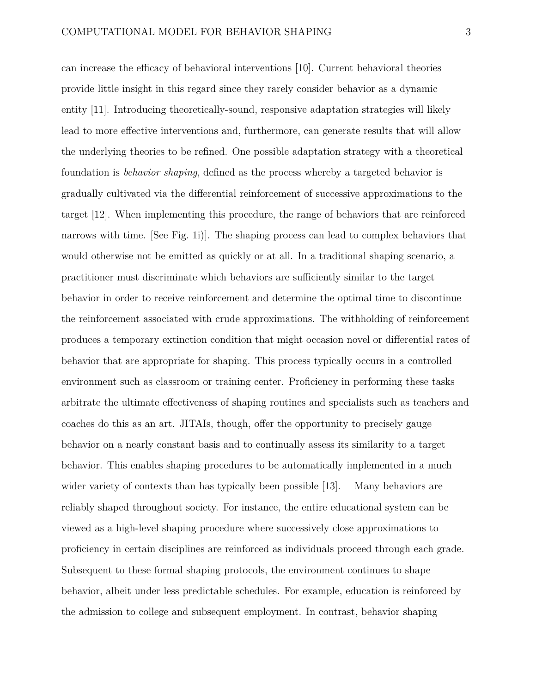can increase the efficacy of behavioral interventions [10]. Current behavioral theories provide little insight in this regard since they rarely consider behavior as a dynamic entity [11]. Introducing theoretically-sound, responsive adaptation strategies will likely lead to more effective interventions and, furthermore, can generate results that will allow the underlying theories to be refined. One possible adaptation strategy with a theoretical foundation is *behavior shaping*, defined as the process whereby a targeted behavior is gradually cultivated via the differential reinforcement of successive approximations to the target [12]. When implementing this procedure, the range of behaviors that are reinforced narrows with time. [See Fig. 1i)]. The shaping process can lead to complex behaviors that would otherwise not be emitted as quickly or at all. In a traditional shaping scenario, a practitioner must discriminate which behaviors are sufficiently similar to the target behavior in order to receive reinforcement and determine the optimal time to discontinue the reinforcement associated with crude approximations. The withholding of reinforcement produces a temporary extinction condition that might occasion novel or differential rates of behavior that are appropriate for shaping. This process typically occurs in a controlled environment such as classroom or training center. Proficiency in performing these tasks arbitrate the ultimate effectiveness of shaping routines and specialists such as teachers and coaches do this as an art. JITAIs, though, offer the opportunity to precisely gauge behavior on a nearly constant basis and to continually assess its similarity to a target behavior. This enables shaping procedures to be automatically implemented in a much wider variety of contexts than has typically been possible [13]. Many behaviors are reliably shaped throughout society. For instance, the entire educational system can be viewed as a high-level shaping procedure where successively close approximations to proficiency in certain disciplines are reinforced as individuals proceed through each grade. Subsequent to these formal shaping protocols, the environment continues to shape behavior, albeit under less predictable schedules. For example, education is reinforced by the admission to college and subsequent employment. In contrast, behavior shaping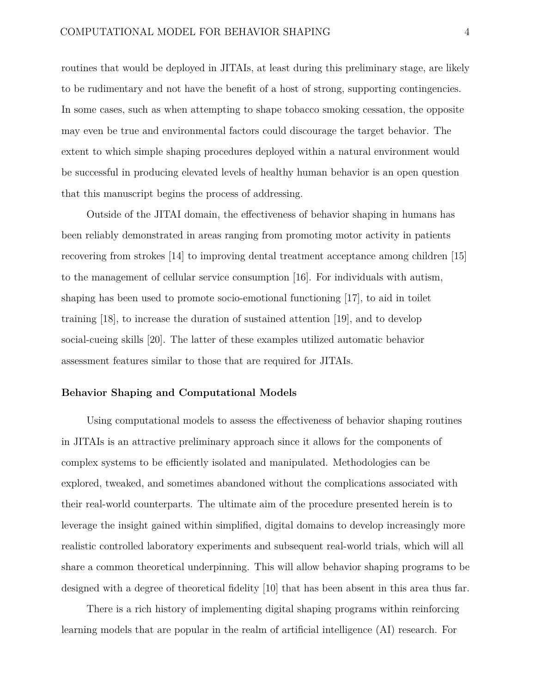routines that would be deployed in JITAIs, at least during this preliminary stage, are likely to be rudimentary and not have the benefit of a host of strong, supporting contingencies. In some cases, such as when attempting to shape tobacco smoking cessation, the opposite may even be true and environmental factors could discourage the target behavior. The extent to which simple shaping procedures deployed within a natural environment would be successful in producing elevated levels of healthy human behavior is an open question that this manuscript begins the process of addressing.

Outside of the JITAI domain, the effectiveness of behavior shaping in humans has been reliably demonstrated in areas ranging from promoting motor activity in patients recovering from strokes [14] to improving dental treatment acceptance among children [15] to the management of cellular service consumption [16]. For individuals with autism, shaping has been used to promote socio-emotional functioning [17], to aid in toilet training [18], to increase the duration of sustained attention [19], and to develop social-cueing skills [20]. The latter of these examples utilized automatic behavior assessment features similar to those that are required for JITAIs.

## **Behavior Shaping and Computational Models**

Using computational models to assess the effectiveness of behavior shaping routines in JITAIs is an attractive preliminary approach since it allows for the components of complex systems to be efficiently isolated and manipulated. Methodologies can be explored, tweaked, and sometimes abandoned without the complications associated with their real-world counterparts. The ultimate aim of the procedure presented herein is to leverage the insight gained within simplified, digital domains to develop increasingly more realistic controlled laboratory experiments and subsequent real-world trials, which will all share a common theoretical underpinning. This will allow behavior shaping programs to be designed with a degree of theoretical fidelity [10] that has been absent in this area thus far.

There is a rich history of implementing digital shaping programs within reinforcing learning models that are popular in the realm of artificial intelligence (AI) research. For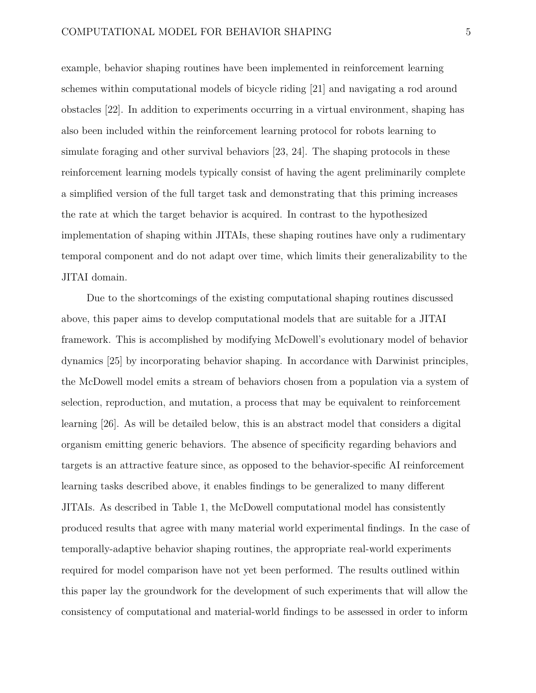example, behavior shaping routines have been implemented in reinforcement learning schemes within computational models of bicycle riding [21] and navigating a rod around obstacles [22]. In addition to experiments occurring in a virtual environment, shaping has also been included within the reinforcement learning protocol for robots learning to simulate foraging and other survival behaviors [23, 24]. The shaping protocols in these reinforcement learning models typically consist of having the agent preliminarily complete a simplified version of the full target task and demonstrating that this priming increases the rate at which the target behavior is acquired. In contrast to the hypothesized implementation of shaping within JITAIs, these shaping routines have only a rudimentary temporal component and do not adapt over time, which limits their generalizability to the JITAI domain.

Due to the shortcomings of the existing computational shaping routines discussed above, this paper aims to develop computational models that are suitable for a JITAI framework. This is accomplished by modifying McDowell's evolutionary model of behavior dynamics [25] by incorporating behavior shaping. In accordance with Darwinist principles, the McDowell model emits a stream of behaviors chosen from a population via a system of selection, reproduction, and mutation, a process that may be equivalent to reinforcement learning [26]. As will be detailed below, this is an abstract model that considers a digital organism emitting generic behaviors. The absence of specificity regarding behaviors and targets is an attractive feature since, as opposed to the behavior-specific AI reinforcement learning tasks described above, it enables findings to be generalized to many different JITAIs. As described in Table 1, the McDowell computational model has consistently produced results that agree with many material world experimental findings. In the case of temporally-adaptive behavior shaping routines, the appropriate real-world experiments required for model comparison have not yet been performed. The results outlined within this paper lay the groundwork for the development of such experiments that will allow the consistency of computational and material-world findings to be assessed in order to inform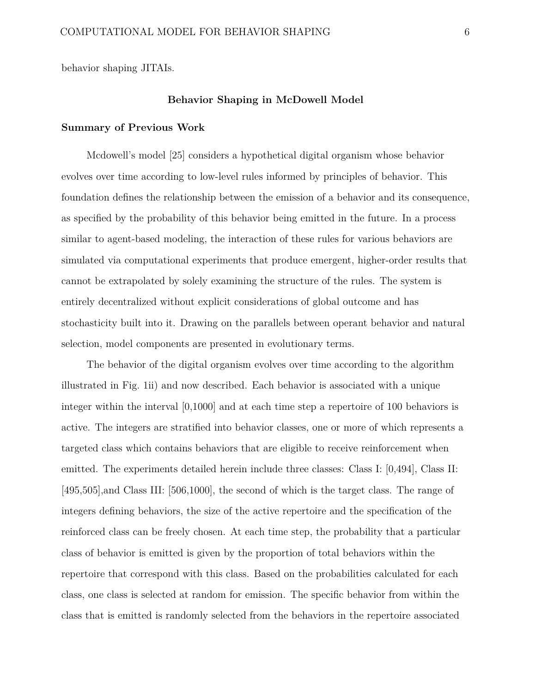behavior shaping JITAIs.

## **Behavior Shaping in McDowell Model**

## **Summary of Previous Work**

Mcdowell's model [25] considers a hypothetical digital organism whose behavior evolves over time according to low-level rules informed by principles of behavior. This foundation defines the relationship between the emission of a behavior and its consequence, as specified by the probability of this behavior being emitted in the future. In a process similar to agent-based modeling, the interaction of these rules for various behaviors are simulated via computational experiments that produce emergent, higher-order results that cannot be extrapolated by solely examining the structure of the rules. The system is entirely decentralized without explicit considerations of global outcome and has stochasticity built into it. Drawing on the parallels between operant behavior and natural selection, model components are presented in evolutionary terms.

The behavior of the digital organism evolves over time according to the algorithm illustrated in Fig. 1ii) and now described. Each behavior is associated with a unique integer within the interval [0,1000] and at each time step a repertoire of 100 behaviors is active. The integers are stratified into behavior classes, one or more of which represents a targeted class which contains behaviors that are eligible to receive reinforcement when emitted. The experiments detailed herein include three classes: Class I: [0,494], Class II: [495,505],and Class III: [506,1000], the second of which is the target class. The range of integers defining behaviors, the size of the active repertoire and the specification of the reinforced class can be freely chosen. At each time step, the probability that a particular class of behavior is emitted is given by the proportion of total behaviors within the repertoire that correspond with this class. Based on the probabilities calculated for each class, one class is selected at random for emission. The specific behavior from within the class that is emitted is randomly selected from the behaviors in the repertoire associated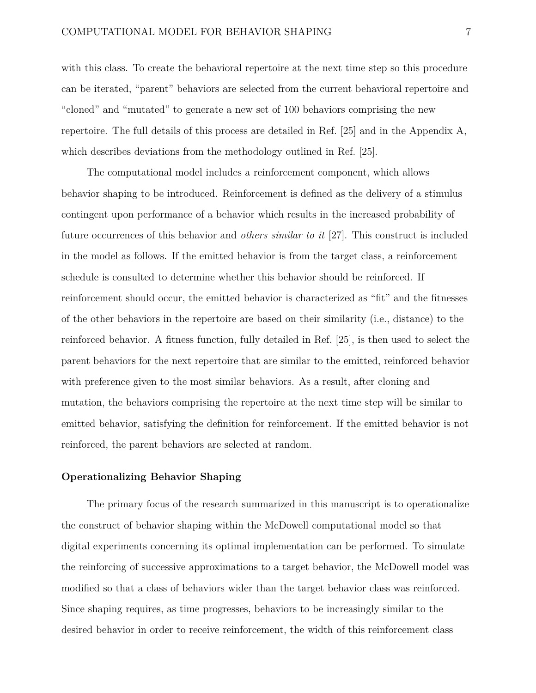with this class. To create the behavioral repertoire at the next time step so this procedure can be iterated, "parent" behaviors are selected from the current behavioral repertoire and "cloned" and "mutated" to generate a new set of 100 behaviors comprising the new repertoire. The full details of this process are detailed in Ref. [25] and in the Appendix A, which describes deviations from the methodology outlined in Ref. [25].

The computational model includes a reinforcement component, which allows behavior shaping to be introduced. Reinforcement is defined as the delivery of a stimulus contingent upon performance of a behavior which results in the increased probability of future occurrences of this behavior and *others similar to it* [27]. This construct is included in the model as follows. If the emitted behavior is from the target class, a reinforcement schedule is consulted to determine whether this behavior should be reinforced. If reinforcement should occur, the emitted behavior is characterized as "fit" and the fitnesses of the other behaviors in the repertoire are based on their similarity (i.e., distance) to the reinforced behavior. A fitness function, fully detailed in Ref. [25], is then used to select the parent behaviors for the next repertoire that are similar to the emitted, reinforced behavior with preference given to the most similar behaviors. As a result, after cloning and mutation, the behaviors comprising the repertoire at the next time step will be similar to emitted behavior, satisfying the definition for reinforcement. If the emitted behavior is not reinforced, the parent behaviors are selected at random.

## **Operationalizing Behavior Shaping**

The primary focus of the research summarized in this manuscript is to operationalize the construct of behavior shaping within the McDowell computational model so that digital experiments concerning its optimal implementation can be performed. To simulate the reinforcing of successive approximations to a target behavior, the McDowell model was modified so that a class of behaviors wider than the target behavior class was reinforced. Since shaping requires, as time progresses, behaviors to be increasingly similar to the desired behavior in order to receive reinforcement, the width of this reinforcement class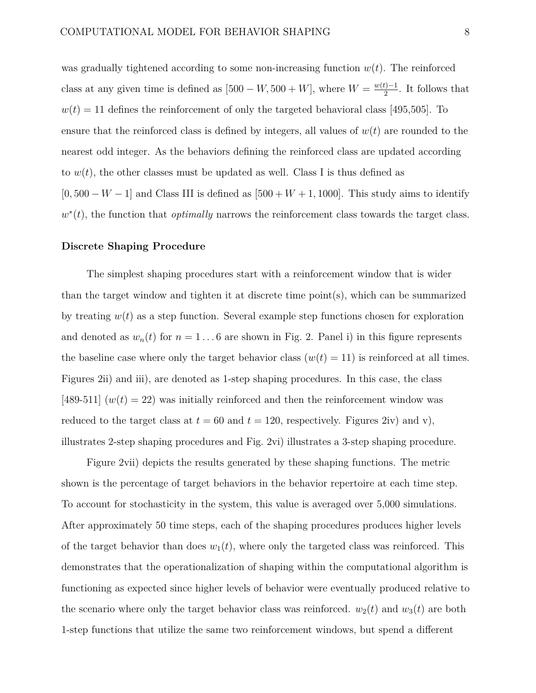was gradually tightened according to some non-increasing function  $w(t)$ . The reinforced class at any given time is defined as  $[500 - W, 500 + W]$ , where  $W = \frac{w(t)-1}{2}$ . It follows that  $w(t) = 11$  defines the reinforcement of only the targeted behavioral class [495,505]. To ensure that the reinforced class is defined by integers, all values of  $w(t)$  are rounded to the nearest odd integer. As the behaviors defining the reinforced class are updated according to  $w(t)$ , the other classes must be updated as well. Class I is thus defined as [0*,* 500 *− W −* 1] and Class III is defined as [500 + *W* + 1*,* 1000]. This study aims to identify  $w^*(t)$ , the function that *optimally* narrows the reinforcement class towards the target class.

## **Discrete Shaping Procedure**

The simplest shaping procedures start with a reinforcement window that is wider than the target window and tighten it at discrete time point(s), which can be summarized by treating  $w(t)$  as a step function. Several example step functions chosen for exploration and denoted as  $w_n(t)$  for  $n = 1...6$  are shown in Fig. 2. Panel i) in this figure represents the baseline case where only the target behavior class  $(w(t) = 11)$  is reinforced at all times. Figures 2ii) and iii), are denoted as 1-step shaping procedures. In this case, the class [489-511]  $(w(t) = 22)$  was initially reinforced and then the reinforcement window was reduced to the target class at  $t = 60$  and  $t = 120$ , respectively. Figures 2iv) and v), illustrates 2-step shaping procedures and Fig. 2vi) illustrates a 3-step shaping procedure.

Figure 2vii) depicts the results generated by these shaping functions. The metric shown is the percentage of target behaviors in the behavior repertoire at each time step. To account for stochasticity in the system, this value is averaged over 5,000 simulations. After approximately 50 time steps, each of the shaping procedures produces higher levels of the target behavior than does  $w_1(t)$ , where only the targeted class was reinforced. This demonstrates that the operationalization of shaping within the computational algorithm is functioning as expected since higher levels of behavior were eventually produced relative to the scenario where only the target behavior class was reinforced.  $w_2(t)$  and  $w_3(t)$  are both 1-step functions that utilize the same two reinforcement windows, but spend a different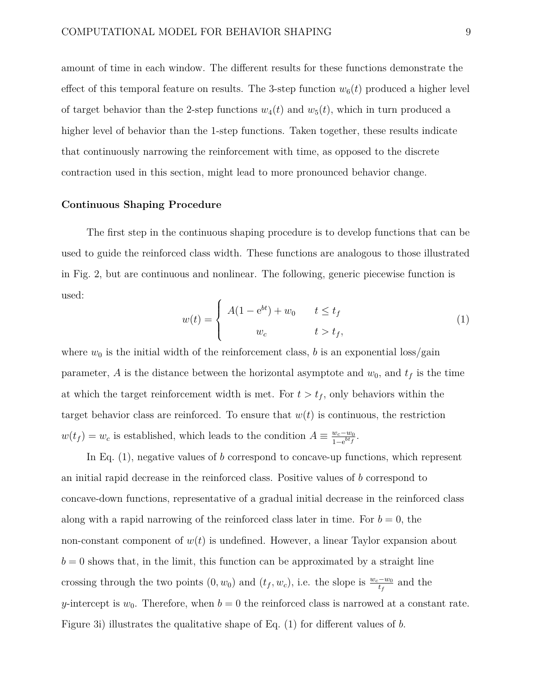amount of time in each window. The different results for these functions demonstrate the effect of this temporal feature on results. The 3-step function  $w_6(t)$  produced a higher level of target behavior than the 2-step functions  $w_4(t)$  and  $w_5(t)$ , which in turn produced a higher level of behavior than the 1-step functions. Taken together, these results indicate that continuously narrowing the reinforcement with time, as opposed to the discrete contraction used in this section, might lead to more pronounced behavior change.

## **Continuous Shaping Procedure**

The first step in the continuous shaping procedure is to develop functions that can be used to guide the reinforced class width. These functions are analogous to those illustrated in Fig. 2, but are continuous and nonlinear. The following, generic piecewise function is used:

$$
w(t) = \begin{cases} A(1 - e^{bt}) + w_0 & t \le t_f \\ w_c & t > t_f, \end{cases}
$$
 (1)

where  $w_0$  is the initial width of the reinforcement class, *b* is an exponential loss/gain parameter,  $A$  is the distance between the horizontal asymptote and  $w_0$ , and  $t_f$  is the time at which the target reinforcement width is met. For  $t > t_f$ , only behaviors within the target behavior class are reinforced. To ensure that  $w(t)$  is continuous, the restriction  $w(t_f) = w_c$  is established, which leads to the condition  $A \equiv \frac{w_c - w_0}{1 - e^{bt_f}}$  $\frac{w_c - w_0}{1 - e^{bt}f}$ .

In Eq. (1), negative values of *b* correspond to concave-up functions, which represent an initial rapid decrease in the reinforced class. Positive values of *b* correspond to concave-down functions, representative of a gradual initial decrease in the reinforced class along with a rapid narrowing of the reinforced class later in time. For  $b = 0$ , the non-constant component of *w*(*t*) is undefined. However, a linear Taylor expansion about  $b = 0$  shows that, in the limit, this function can be approximated by a straight line crossing through the two points  $(0, w_0)$  and  $(t_f, w_c)$ , i.e. the slope is  $\frac{w_c - w_0}{t_f}$  and the *y*-intercept is  $w_0$ . Therefore, when  $b = 0$  the reinforced class is narrowed at a constant rate. Figure 3i) illustrates the qualitative shape of Eq. (1) for different values of *b*.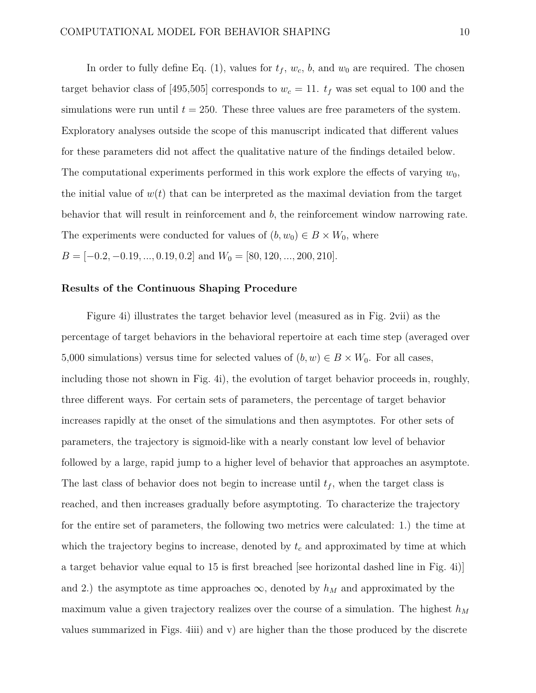In order to fully define Eq. (1), values for  $t_f$ ,  $w_c$ ,  $b$ , and  $w_0$  are required. The chosen target behavior class of [495,505] corresponds to  $w_c = 11$ .  $t_f$  was set equal to 100 and the simulations were run until  $t = 250$ . These three values are free parameters of the system. Exploratory analyses outside the scope of this manuscript indicated that different values for these parameters did not affect the qualitative nature of the findings detailed below. The computational experiments performed in this work explore the effects of varying  $w_0$ , the initial value of  $w(t)$  that can be interpreted as the maximal deviation from the target behavior that will result in reinforcement and *b*, the reinforcement window narrowing rate. The experiments were conducted for values of  $(b, w_0) \in B \times W_0$ , where *B* = [*−*0*.*2*, −*0*.*19*, ...,* 0*.*19*,* 0*.*2] and *W*<sup>0</sup> = [80*,* 120*, ...,* 200*,* 210].

## **Results of the Continuous Shaping Procedure**

Figure 4i) illustrates the target behavior level (measured as in Fig. 2vii) as the percentage of target behaviors in the behavioral repertoire at each time step (averaged over 5,000 simulations) versus time for selected values of  $(b, w) \in B \times W_0$ . For all cases, including those not shown in Fig. 4i), the evolution of target behavior proceeds in, roughly, three different ways. For certain sets of parameters, the percentage of target behavior increases rapidly at the onset of the simulations and then asymptotes. For other sets of parameters, the trajectory is sigmoid-like with a nearly constant low level of behavior followed by a large, rapid jump to a higher level of behavior that approaches an asymptote. The last class of behavior does not begin to increase until *t<sup>f</sup>* , when the target class is reached, and then increases gradually before asymptoting. To characterize the trajectory for the entire set of parameters, the following two metrics were calculated: 1.) the time at which the trajectory begins to increase, denoted by  $t_c$  and approximated by time at which a target behavior value equal to 15 is first breached [see horizontal dashed line in Fig. 4i)] and 2.) the asymptote as time approaches  $\infty$ , denoted by  $h_M$  and approximated by the maximum value a given trajectory realizes over the course of a simulation. The highest *h<sup>M</sup>* values summarized in Figs. 4iii) and v) are higher than the those produced by the discrete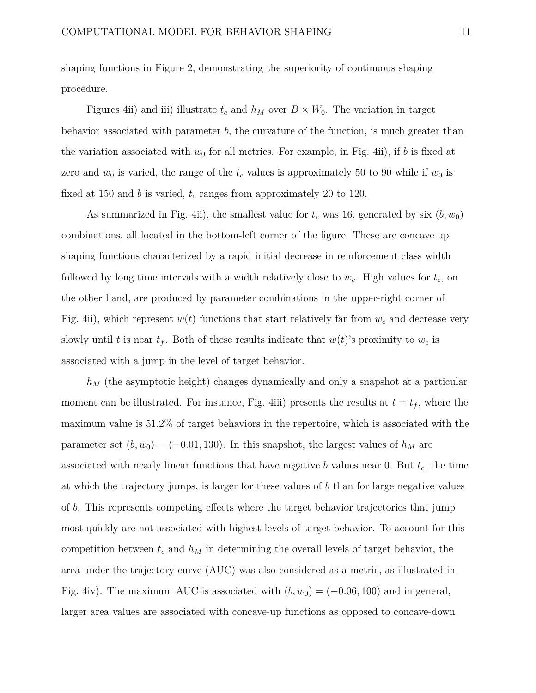shaping functions in Figure 2, demonstrating the superiority of continuous shaping procedure.

Figures 4ii) and iii) illustrate  $t_c$  and  $h_M$  over  $B \times W_0$ . The variation in target behavior associated with parameter *b*, the curvature of the function, is much greater than the variation associated with  $w_0$  for all metrics. For example, in Fig. 4ii), if *b* is fixed at zero and  $w_0$  is varied, the range of the  $t_c$  values is approximately 50 to 90 while if  $w_0$  is fixed at 150 and *b* is varied, *t<sup>c</sup>* ranges from approximately 20 to 120.

As summarized in Fig. 4ii), the smallest value for *t<sup>c</sup>* was 16, generated by six (*b, w*0) combinations, all located in the bottom-left corner of the figure. These are concave up shaping functions characterized by a rapid initial decrease in reinforcement class width followed by long time intervals with a width relatively close to  $w_c$ . High values for  $t_c$ , on the other hand, are produced by parameter combinations in the upper-right corner of Fig. 4ii), which represent  $w(t)$  functions that start relatively far from  $w_c$  and decrease very slowly until *t* is near  $t_f$ . Both of these results indicate that  $w(t)$ 's proximity to  $w_c$  is associated with a jump in the level of target behavior.

*h<sup>M</sup>* (the asymptotic height) changes dynamically and only a snapshot at a particular moment can be illustrated. For instance, Fig. 4iii) presents the results at  $t = t_f$ , where the maximum value is 51.2% of target behaviors in the repertoire, which is associated with the parameter set  $(b, w_0) = (-0.01, 130)$ . In this snapshot, the largest values of  $h_M$  are associated with nearly linear functions that have negative *b* values near 0. But *tc*, the time at which the trajectory jumps, is larger for these values of *b* than for large negative values of *b*. This represents competing effects where the target behavior trajectories that jump most quickly are not associated with highest levels of target behavior. To account for this competition between  $t_c$  and  $h_M$  in determining the overall levels of target behavior, the area under the trajectory curve (AUC) was also considered as a metric, as illustrated in Fig. 4iv). The maximum AUC is associated with  $(b, w_0) = (-0.06, 100)$  and in general, larger area values are associated with concave-up functions as opposed to concave-down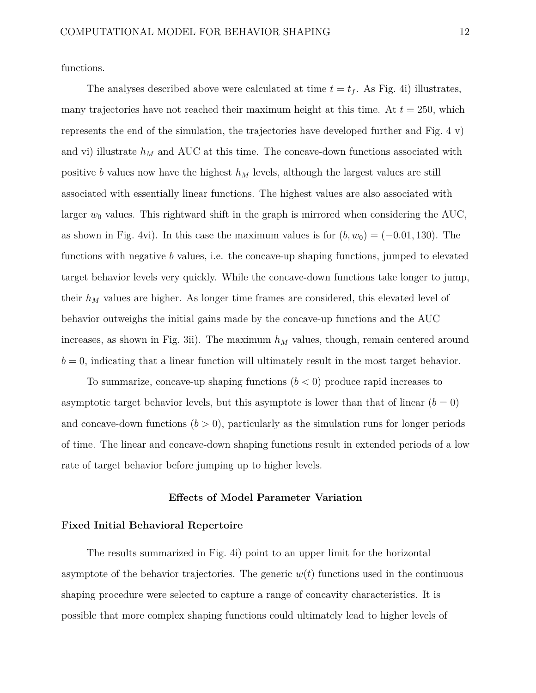functions.

The analyses described above were calculated at time  $t = t_f$ . As Fig. 4i) illustrates, many trajectories have not reached their maximum height at this time. At  $t = 250$ , which represents the end of the simulation, the trajectories have developed further and Fig. 4 v) and vi) illustrate  $h_M$  and AUC at this time. The concave-down functions associated with positive *b* values now have the highest *h<sup>M</sup>* levels, although the largest values are still associated with essentially linear functions. The highest values are also associated with larger *w*<sup>0</sup> values. This rightward shift in the graph is mirrored when considering the AUC, as shown in Fig. 4vi). In this case the maximum values is for  $(b, w_0) = (-0.01, 130)$ . The functions with negative *b* values, i.e. the concave-up shaping functions, jumped to elevated target behavior levels very quickly. While the concave-down functions take longer to jump, their *h<sup>M</sup>* values are higher. As longer time frames are considered, this elevated level of behavior outweighs the initial gains made by the concave-up functions and the AUC increases, as shown in Fig. 3ii). The maximum *h<sup>M</sup>* values, though, remain centered around  $b = 0$ , indicating that a linear function will ultimately result in the most target behavior.

To summarize, concave-up shaping functions (*b <* 0) produce rapid increases to asymptotic target behavior levels, but this asymptote is lower than that of linear  $(b = 0)$ and concave-down functions  $(b > 0)$ , particularly as the simulation runs for longer periods of time. The linear and concave-down shaping functions result in extended periods of a low rate of target behavior before jumping up to higher levels.

## **Effects of Model Parameter Variation**

## **Fixed Initial Behavioral Repertoire**

The results summarized in Fig. 4i) point to an upper limit for the horizontal asymptote of the behavior trajectories. The generic  $w(t)$  functions used in the continuous shaping procedure were selected to capture a range of concavity characteristics. It is possible that more complex shaping functions could ultimately lead to higher levels of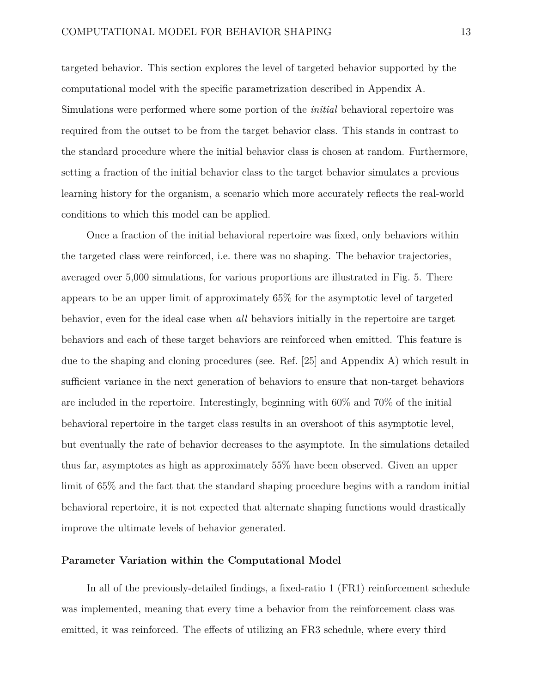targeted behavior. This section explores the level of targeted behavior supported by the computational model with the specific parametrization described in Appendix A. Simulations were performed where some portion of the *initial* behavioral repertoire was required from the outset to be from the target behavior class. This stands in contrast to the standard procedure where the initial behavior class is chosen at random. Furthermore, setting a fraction of the initial behavior class to the target behavior simulates a previous learning history for the organism, a scenario which more accurately reflects the real-world conditions to which this model can be applied.

Once a fraction of the initial behavioral repertoire was fixed, only behaviors within the targeted class were reinforced, i.e. there was no shaping. The behavior trajectories, averaged over 5,000 simulations, for various proportions are illustrated in Fig. 5. There appears to be an upper limit of approximately 65% for the asymptotic level of targeted behavior, even for the ideal case when *all* behaviors initially in the repertoire are target behaviors and each of these target behaviors are reinforced when emitted. This feature is due to the shaping and cloning procedures (see. Ref. [25] and Appendix A) which result in sufficient variance in the next generation of behaviors to ensure that non-target behaviors are included in the repertoire. Interestingly, beginning with 60% and 70% of the initial behavioral repertoire in the target class results in an overshoot of this asymptotic level, but eventually the rate of behavior decreases to the asymptote. In the simulations detailed thus far, asymptotes as high as approximately 55% have been observed. Given an upper limit of 65% and the fact that the standard shaping procedure begins with a random initial behavioral repertoire, it is not expected that alternate shaping functions would drastically improve the ultimate levels of behavior generated.

## **Parameter Variation within the Computational Model**

In all of the previously-detailed findings, a fixed-ratio 1 (FR1) reinforcement schedule was implemented, meaning that every time a behavior from the reinforcement class was emitted, it was reinforced. The effects of utilizing an FR3 schedule, where every third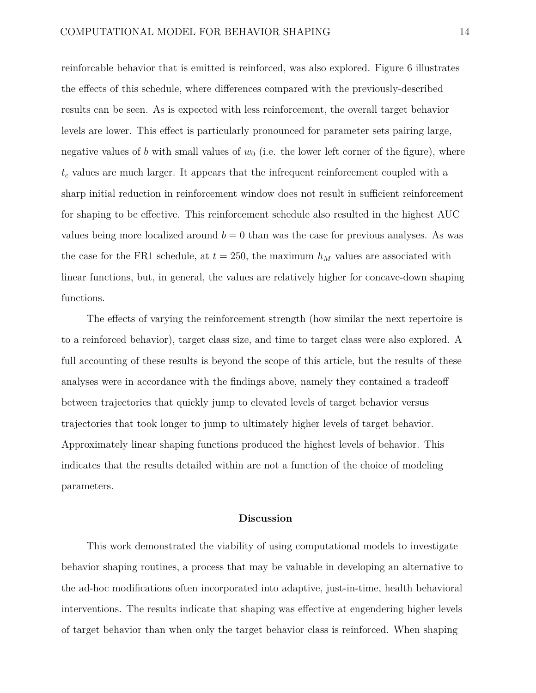reinforcable behavior that is emitted is reinforced, was also explored. Figure 6 illustrates the effects of this schedule, where differences compared with the previously-described results can be seen. As is expected with less reinforcement, the overall target behavior levels are lower. This effect is particularly pronounced for parameter sets pairing large, negative values of *b* with small values of  $w_0$  (i.e. the lower left corner of the figure), where *t<sup>c</sup>* values are much larger. It appears that the infrequent reinforcement coupled with a sharp initial reduction in reinforcement window does not result in sufficient reinforcement for shaping to be effective. This reinforcement schedule also resulted in the highest AUC values being more localized around  $b = 0$  than was the case for previous analyses. As was the case for the FR1 schedule, at  $t = 250$ , the maximum  $h_M$  values are associated with linear functions, but, in general, the values are relatively higher for concave-down shaping functions.

The effects of varying the reinforcement strength (how similar the next repertoire is to a reinforced behavior), target class size, and time to target class were also explored. A full accounting of these results is beyond the scope of this article, but the results of these analyses were in accordance with the findings above, namely they contained a tradeoff between trajectories that quickly jump to elevated levels of target behavior versus trajectories that took longer to jump to ultimately higher levels of target behavior. Approximately linear shaping functions produced the highest levels of behavior. This indicates that the results detailed within are not a function of the choice of modeling parameters.

## **Discussion**

This work demonstrated the viability of using computational models to investigate behavior shaping routines, a process that may be valuable in developing an alternative to the ad-hoc modifications often incorporated into adaptive, just-in-time, health behavioral interventions. The results indicate that shaping was effective at engendering higher levels of target behavior than when only the target behavior class is reinforced. When shaping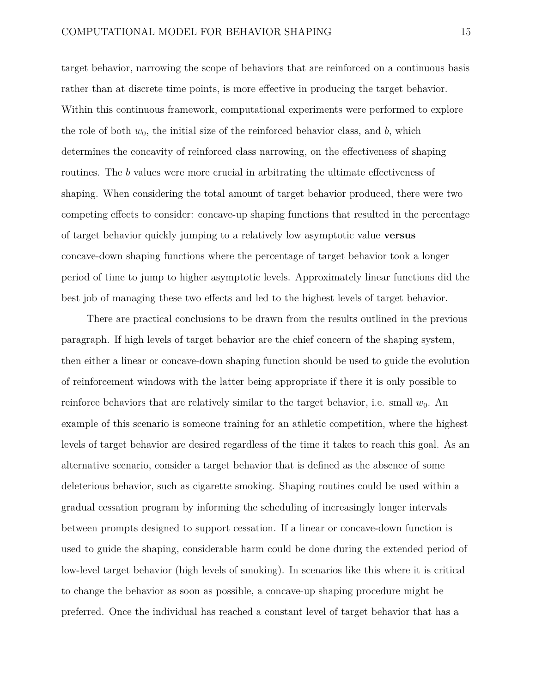target behavior, narrowing the scope of behaviors that are reinforced on a continuous basis rather than at discrete time points, is more effective in producing the target behavior. Within this continuous framework, computational experiments were performed to explore the role of both  $w_0$ , the initial size of the reinforced behavior class, and  $b$ , which determines the concavity of reinforced class narrowing, on the effectiveness of shaping routines. The *b* values were more crucial in arbitrating the ultimate effectiveness of shaping. When considering the total amount of target behavior produced, there were two competing effects to consider: concave-up shaping functions that resulted in the percentage of target behavior quickly jumping to a relatively low asymptotic value **versus** concave-down shaping functions where the percentage of target behavior took a longer period of time to jump to higher asymptotic levels. Approximately linear functions did the best job of managing these two effects and led to the highest levels of target behavior.

There are practical conclusions to be drawn from the results outlined in the previous paragraph. If high levels of target behavior are the chief concern of the shaping system, then either a linear or concave-down shaping function should be used to guide the evolution of reinforcement windows with the latter being appropriate if there it is only possible to reinforce behaviors that are relatively similar to the target behavior, i.e. small  $w_0$ . An example of this scenario is someone training for an athletic competition, where the highest levels of target behavior are desired regardless of the time it takes to reach this goal. As an alternative scenario, consider a target behavior that is defined as the absence of some deleterious behavior, such as cigarette smoking. Shaping routines could be used within a gradual cessation program by informing the scheduling of increasingly longer intervals between prompts designed to support cessation. If a linear or concave-down function is used to guide the shaping, considerable harm could be done during the extended period of low-level target behavior (high levels of smoking). In scenarios like this where it is critical to change the behavior as soon as possible, a concave-up shaping procedure might be preferred. Once the individual has reached a constant level of target behavior that has a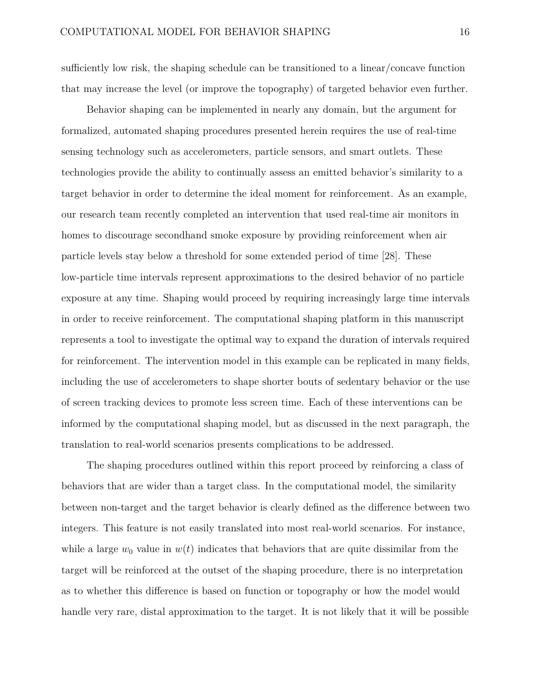sufficiently low risk, the shaping schedule can be transitioned to a linear/concave function that may increase the level (or improve the topography) of targeted behavior even further.

Behavior shaping can be implemented in nearly any domain, but the argument for formalized, automated shaping procedures presented herein requires the use of real-time sensing technology such as accelerometers, particle sensors, and smart outlets. These technologies provide the ability to continually assess an emitted behavior's similarity to a target behavior in order to determine the ideal moment for reinforcement. As an example, our research team recently completed an intervention that used real-time air monitors in homes to discourage secondhand smoke exposure by providing reinforcement when air particle levels stay below a threshold for some extended period of time [28]. These low-particle time intervals represent approximations to the desired behavior of no particle exposure at any time. Shaping would proceed by requiring increasingly large time intervals in order to receive reinforcement. The computational shaping platform in this manuscript represents a tool to investigate the optimal way to expand the duration of intervals required for reinforcement. The intervention model in this example can be replicated in many fields, including the use of accelerometers to shape shorter bouts of sedentary behavior or the use of screen tracking devices to promote less screen time. Each of these interventions can be informed by the computational shaping model, but as discussed in the next paragraph, the translation to real-world scenarios presents complications to be addressed.

The shaping procedures outlined within this report proceed by reinforcing a class of behaviors that are wider than a target class. In the computational model, the similarity between non-target and the target behavior is clearly defined as the difference between two integers. This feature is not easily translated into most real-world scenarios. For instance, while a large  $w_0$  value in  $w(t)$  indicates that behaviors that are quite dissimilar from the target will be reinforced at the outset of the shaping procedure, there is no interpretation as to whether this difference is based on function or topography or how the model would handle very rare, distal approximation to the target. It is not likely that it will be possible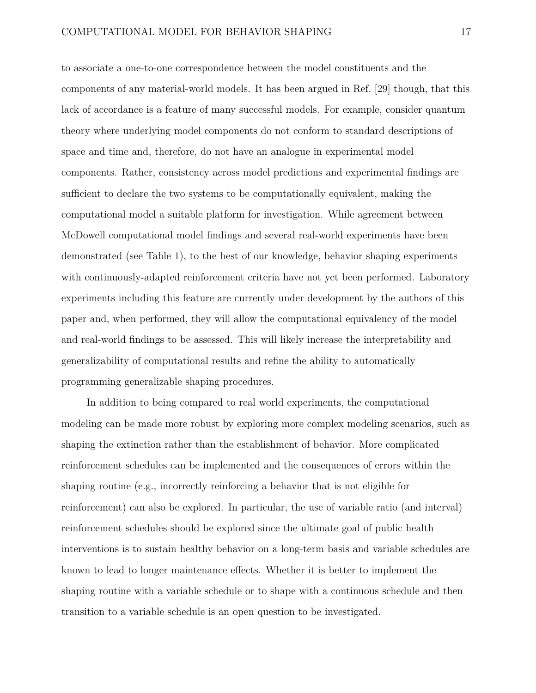to associate a one-to-one correspondence between the model constituents and the components of any material-world models. It has been argued in Ref. [29] though, that this lack of accordance is a feature of many successful models. For example, consider quantum theory where underlying model components do not conform to standard descriptions of space and time and, therefore, do not have an analogue in experimental model components. Rather, consistency across model predictions and experimental findings are sufficient to declare the two systems to be computationally equivalent, making the computational model a suitable platform for investigation. While agreement between McDowell computational model findings and several real-world experiments have been demonstrated (see Table 1), to the best of our knowledge, behavior shaping experiments with continuously-adapted reinforcement criteria have not yet been performed. Laboratory experiments including this feature are currently under development by the authors of this paper and, when performed, they will allow the computational equivalency of the model and real-world findings to be assessed. This will likely increase the interpretability and generalizability of computational results and refine the ability to automatically programming generalizable shaping procedures.

In addition to being compared to real world experiments, the computational modeling can be made more robust by exploring more complex modeling scenarios, such as shaping the extinction rather than the establishment of behavior. More complicated reinforcement schedules can be implemented and the consequences of errors within the shaping routine (e.g., incorrectly reinforcing a behavior that is not eligible for reinforcement) can also be explored. In particular, the use of variable ratio (and interval) reinforcement schedules should be explored since the ultimate goal of public health interventions is to sustain healthy behavior on a long-term basis and variable schedules are known to lead to longer maintenance effects. Whether it is better to implement the shaping routine with a variable schedule or to shape with a continuous schedule and then transition to a variable schedule is an open question to be investigated.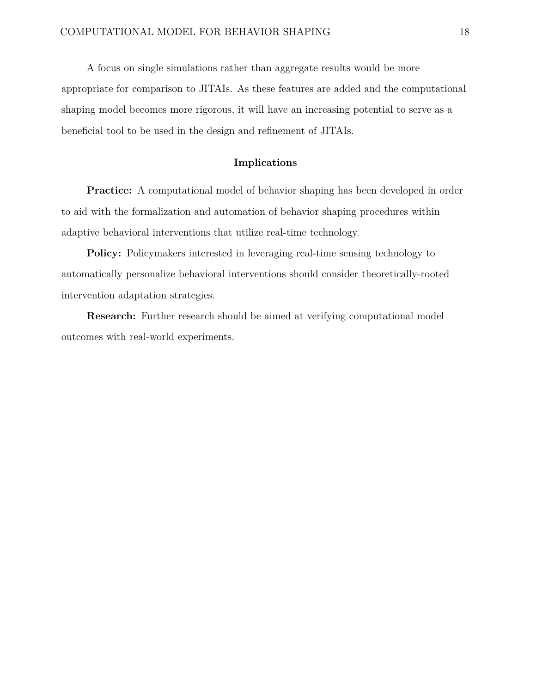A focus on single simulations rather than aggregate results would be more appropriate for comparison to JITAIs. As these features are added and the computational shaping model becomes more rigorous, it will have an increasing potential to serve as a beneficial tool to be used in the design and refinement of JITAIs.

## **Implications**

**Practice:** A computational model of behavior shaping has been developed in order to aid with the formalization and automation of behavior shaping procedures within adaptive behavioral interventions that utilize real-time technology.

**Policy:** Policymakers interested in leveraging real-time sensing technology to automatically personalize behavioral interventions should consider theoretically-rooted intervention adaptation strategies.

**Research:** Further research should be aimed at verifying computational model outcomes with real-world experiments.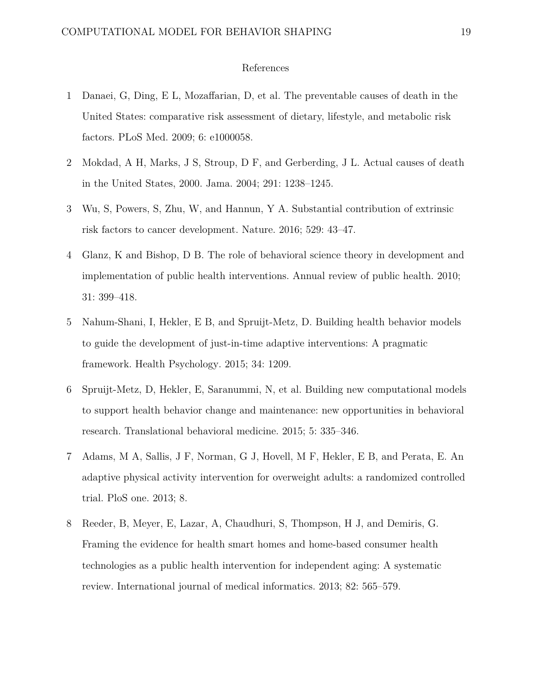## References

- 1 Danaei, G, Ding, E L, Mozaffarian, D, et al. The preventable causes of death in the United States: comparative risk assessment of dietary, lifestyle, and metabolic risk factors. PLoS Med. 2009; 6: e1000058.
- 2 Mokdad, A H, Marks, J S, Stroup, D F, and Gerberding, J L. Actual causes of death in the United States, 2000. Jama. 2004; 291: 1238–1245.
- 3 Wu, S, Powers, S, Zhu, W, and Hannun, Y A. Substantial contribution of extrinsic risk factors to cancer development. Nature. 2016; 529: 43–47.
- 4 Glanz, K and Bishop, D B. The role of behavioral science theory in development and implementation of public health interventions. Annual review of public health. 2010; 31: 399–418.
- 5 Nahum-Shani, I, Hekler, E B, and Spruijt-Metz, D. Building health behavior models to guide the development of just-in-time adaptive interventions: A pragmatic framework. Health Psychology. 2015; 34: 1209.
- 6 Spruijt-Metz, D, Hekler, E, Saranummi, N, et al. Building new computational models to support health behavior change and maintenance: new opportunities in behavioral research. Translational behavioral medicine. 2015; 5: 335–346.
- 7 Adams, M A, Sallis, J F, Norman, G J, Hovell, M F, Hekler, E B, and Perata, E. An adaptive physical activity intervention for overweight adults: a randomized controlled trial. PloS one. 2013; 8.
- 8 Reeder, B, Meyer, E, Lazar, A, Chaudhuri, S, Thompson, H J, and Demiris, G. Framing the evidence for health smart homes and home-based consumer health technologies as a public health intervention for independent aging: A systematic review. International journal of medical informatics. 2013; 82: 565–579.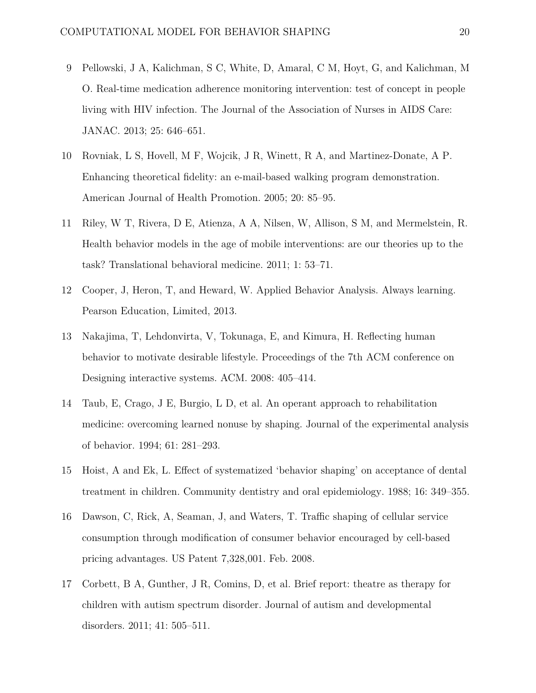- 9 Pellowski, J A, Kalichman, S C, White, D, Amaral, C M, Hoyt, G, and Kalichman, M O. Real-time medication adherence monitoring intervention: test of concept in people living with HIV infection. The Journal of the Association of Nurses in AIDS Care: JANAC. 2013; 25: 646–651.
- 10 Rovniak, L S, Hovell, M F, Wojcik, J R, Winett, R A, and Martinez-Donate, A P. Enhancing theoretical fidelity: an e-mail-based walking program demonstration. American Journal of Health Promotion. 2005; 20: 85–95.
- 11 Riley, W T, Rivera, D E, Atienza, A A, Nilsen, W, Allison, S M, and Mermelstein, R. Health behavior models in the age of mobile interventions: are our theories up to the task? Translational behavioral medicine. 2011; 1: 53–71.
- 12 Cooper, J, Heron, T, and Heward, W. Applied Behavior Analysis. Always learning. Pearson Education, Limited, 2013.
- 13 Nakajima, T, Lehdonvirta, V, Tokunaga, E, and Kimura, H. Reflecting human behavior to motivate desirable lifestyle. Proceedings of the 7th ACM conference on Designing interactive systems. ACM. 2008: 405–414.
- 14 Taub, E, Crago, J E, Burgio, L D, et al. An operant approach to rehabilitation medicine: overcoming learned nonuse by shaping. Journal of the experimental analysis of behavior. 1994; 61: 281–293.
- 15 Hoist, A and Ek, L. Effect of systematized 'behavior shaping' on acceptance of dental treatment in children. Community dentistry and oral epidemiology. 1988; 16: 349–355.
- 16 Dawson, C, Rick, A, Seaman, J, and Waters, T. Traffic shaping of cellular service consumption through modification of consumer behavior encouraged by cell-based pricing advantages. US Patent 7,328,001. Feb. 2008.
- 17 Corbett, B A, Gunther, J R, Comins, D, et al. Brief report: theatre as therapy for children with autism spectrum disorder. Journal of autism and developmental disorders. 2011; 41: 505–511.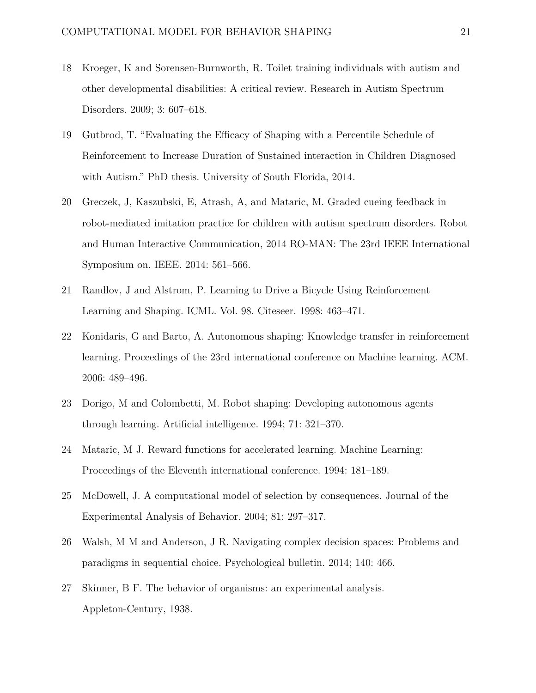- 18 Kroeger, K and Sorensen-Burnworth, R. Toilet training individuals with autism and other developmental disabilities: A critical review. Research in Autism Spectrum Disorders. 2009; 3: 607–618.
- 19 Gutbrod, T. "Evaluating the Efficacy of Shaping with a Percentile Schedule of Reinforcement to Increase Duration of Sustained interaction in Children Diagnosed with Autism." PhD thesis. University of South Florida, 2014.
- 20 Greczek, J, Kaszubski, E, Atrash, A, and Mataric, M. Graded cueing feedback in robot-mediated imitation practice for children with autism spectrum disorders. Robot and Human Interactive Communication, 2014 RO-MAN: The 23rd IEEE International Symposium on. IEEE. 2014: 561–566.
- 21 Randlov, J and Alstrom, P. Learning to Drive a Bicycle Using Reinforcement Learning and Shaping. ICML. Vol. 98. Citeseer. 1998: 463–471.
- 22 Konidaris, G and Barto, A. Autonomous shaping: Knowledge transfer in reinforcement learning. Proceedings of the 23rd international conference on Machine learning. ACM. 2006: 489–496.
- 23 Dorigo, M and Colombetti, M. Robot shaping: Developing autonomous agents through learning. Artificial intelligence. 1994; 71: 321–370.
- 24 Mataric, M J. Reward functions for accelerated learning. Machine Learning: Proceedings of the Eleventh international conference. 1994: 181–189.
- 25 McDowell, J. A computational model of selection by consequences. Journal of the Experimental Analysis of Behavior. 2004; 81: 297–317.
- 26 Walsh, M M and Anderson, J R. Navigating complex decision spaces: Problems and paradigms in sequential choice. Psychological bulletin. 2014; 140: 466.
- 27 Skinner, B F. The behavior of organisms: an experimental analysis. Appleton-Century, 1938.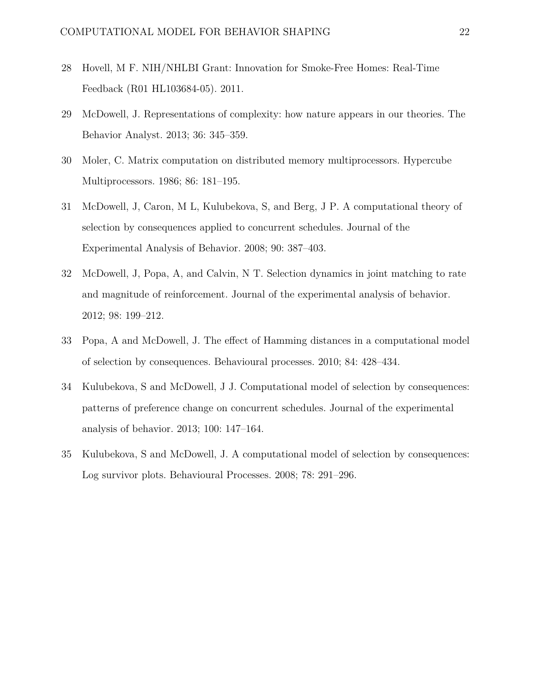- 28 Hovell, M F. NIH/NHLBI Grant: Innovation for Smoke-Free Homes: Real-Time Feedback (R01 HL103684-05). 2011.
- 29 McDowell, J. Representations of complexity: how nature appears in our theories. The Behavior Analyst. 2013; 36: 345–359.
- 30 Moler, C. Matrix computation on distributed memory multiprocessors. Hypercube Multiprocessors. 1986; 86: 181–195.
- 31 McDowell, J, Caron, M L, Kulubekova, S, and Berg, J P. A computational theory of selection by consequences applied to concurrent schedules. Journal of the Experimental Analysis of Behavior. 2008; 90: 387–403.
- 32 McDowell, J, Popa, A, and Calvin, N T. Selection dynamics in joint matching to rate and magnitude of reinforcement. Journal of the experimental analysis of behavior. 2012; 98: 199–212.
- 33 Popa, A and McDowell, J. The effect of Hamming distances in a computational model of selection by consequences. Behavioural processes. 2010; 84: 428–434.
- 34 Kulubekova, S and McDowell, J J. Computational model of selection by consequences: patterns of preference change on concurrent schedules. Journal of the experimental analysis of behavior. 2013; 100: 147–164.
- 35 Kulubekova, S and McDowell, J. A computational model of selection by consequences: Log survivor plots. Behavioural Processes. 2008; 78: 291–296.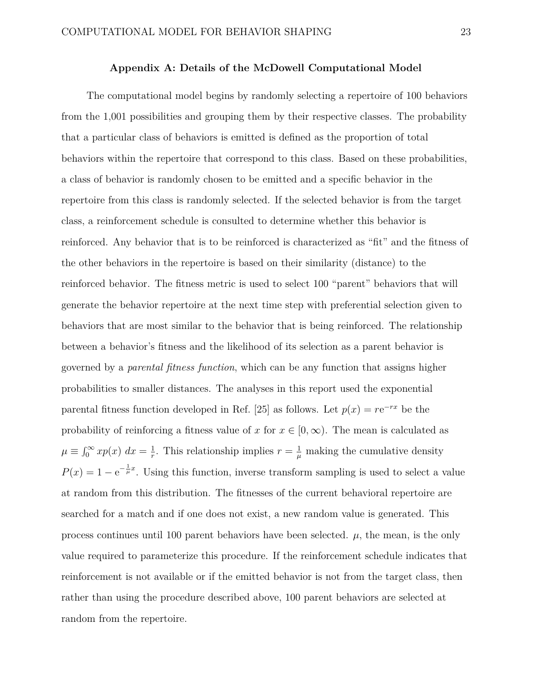The computational model begins by randomly selecting a repertoire of 100 behaviors from the 1,001 possibilities and grouping them by their respective classes. The probability that a particular class of behaviors is emitted is defined as the proportion of total behaviors within the repertoire that correspond to this class. Based on these probabilities, a class of behavior is randomly chosen to be emitted and a specific behavior in the repertoire from this class is randomly selected. If the selected behavior is from the target class, a reinforcement schedule is consulted to determine whether this behavior is reinforced. Any behavior that is to be reinforced is characterized as "fit" and the fitness of the other behaviors in the repertoire is based on their similarity (distance) to the reinforced behavior. The fitness metric is used to select 100 "parent" behaviors that will generate the behavior repertoire at the next time step with preferential selection given to behaviors that are most similar to the behavior that is being reinforced. The relationship between a behavior's fitness and the likelihood of its selection as a parent behavior is governed by a *parental fitness function*, which can be any function that assigns higher probabilities to smaller distances. The analyses in this report used the exponential parental fitness function developed in Ref. [25] as follows. Let  $p(x) = re^{-rx}$  be the probability of reinforcing a fitness value of *x* for  $x \in [0, \infty)$ . The mean is calculated as  $\mu \equiv \int_0^\infty x p(x) \ dx = \frac{1}{r}$ <sup>1</sup>/<sub>*r*</sub>. This relationship implies  $r = \frac{1}{\mu}$  making the cumulative density  $P(x) = 1 - e^{-\frac{1}{\mu}x}$ . Using this function, inverse transform sampling is used to select a value at random from this distribution. The fitnesses of the current behavioral repertoire are searched for a match and if one does not exist, a new random value is generated. This process continues until 100 parent behaviors have been selected.  $\mu$ , the mean, is the only value required to parameterize this procedure. If the reinforcement schedule indicates that reinforcement is not available or if the emitted behavior is not from the target class, then rather than using the procedure described above, 100 parent behaviors are selected at random from the repertoire.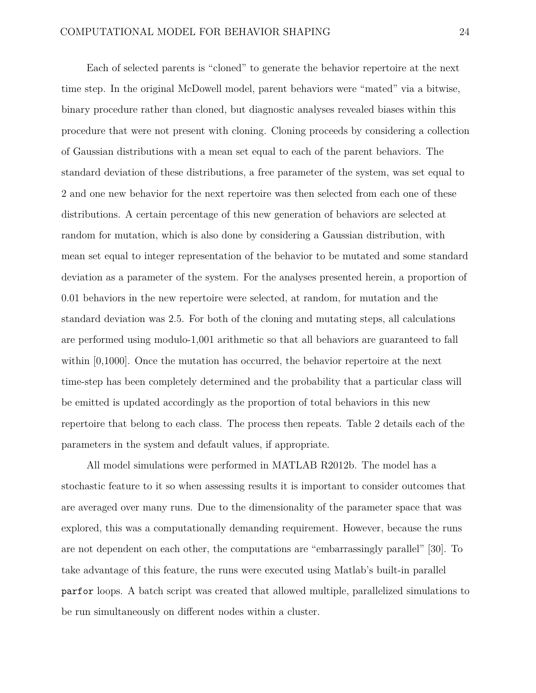Each of selected parents is "cloned" to generate the behavior repertoire at the next time step. In the original McDowell model, parent behaviors were "mated" via a bitwise, binary procedure rather than cloned, but diagnostic analyses revealed biases within this procedure that were not present with cloning. Cloning proceeds by considering a collection of Gaussian distributions with a mean set equal to each of the parent behaviors. The standard deviation of these distributions, a free parameter of the system, was set equal to 2 and one new behavior for the next repertoire was then selected from each one of these distributions. A certain percentage of this new generation of behaviors are selected at random for mutation, which is also done by considering a Gaussian distribution, with mean set equal to integer representation of the behavior to be mutated and some standard deviation as a parameter of the system. For the analyses presented herein, a proportion of 0.01 behaviors in the new repertoire were selected, at random, for mutation and the standard deviation was 2.5. For both of the cloning and mutating steps, all calculations are performed using modulo-1,001 arithmetic so that all behaviors are guaranteed to fall within [0,1000]. Once the mutation has occurred, the behavior repertoire at the next time-step has been completely determined and the probability that a particular class will be emitted is updated accordingly as the proportion of total behaviors in this new repertoire that belong to each class. The process then repeats. Table 2 details each of the parameters in the system and default values, if appropriate.

All model simulations were performed in MATLAB R2012b. The model has a stochastic feature to it so when assessing results it is important to consider outcomes that are averaged over many runs. Due to the dimensionality of the parameter space that was explored, this was a computationally demanding requirement. However, because the runs are not dependent on each other, the computations are "embarrassingly parallel" [30]. To take advantage of this feature, the runs were executed using Matlab's built-in parallel parfor loops. A batch script was created that allowed multiple, parallelized simulations to be run simultaneously on different nodes within a cluster.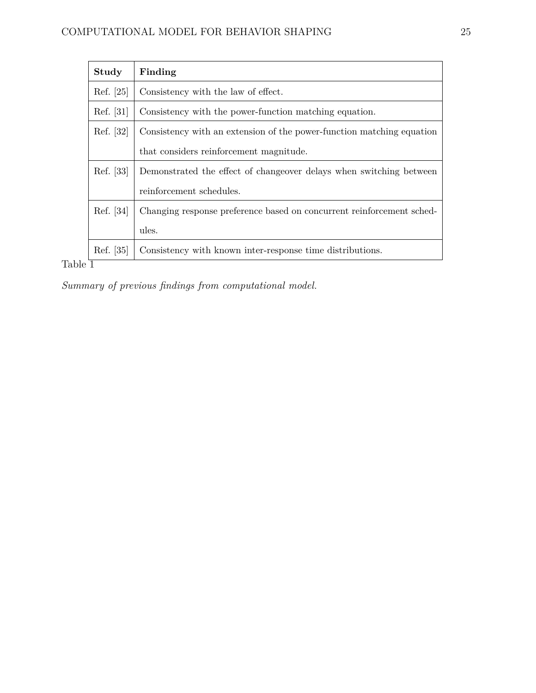| Study           | Finding                                                               |  |
|-----------------|-----------------------------------------------------------------------|--|
| Ref. [25]       | Consistency with the law of effect.                                   |  |
| Ref. [31]       | Consistency with the power-function matching equation.                |  |
| Ref. [32]       | Consistency with an extension of the power-function matching equation |  |
|                 | that considers reinforcement magnitude.                               |  |
| Ref. [33]       | Demonstrated the effect of change over delays when switching between  |  |
|                 | reinforcement schedules.                                              |  |
| Ref. [34]       | Changing response preference based on concurrent reinforcement sched- |  |
|                 | ules.                                                                 |  |
| Ref. [35]<br>1. | Consistency with known inter-response time distributions.             |  |

Table  $\overline{1}$ 

*Summary of previous findings from computational model.*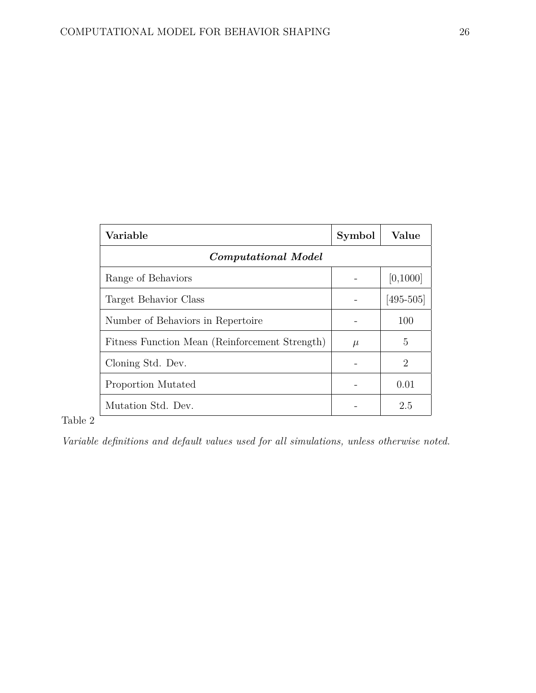| Variable                                       | Symbol | Value                       |  |
|------------------------------------------------|--------|-----------------------------|--|
| Computational Model                            |        |                             |  |
| Range of Behaviors                             |        | [0,1000]                    |  |
| Target Behavior Class                          |        | $[495 - 505]$               |  |
| Number of Behaviors in Repertoire              |        | 100                         |  |
| Fitness Function Mean (Reinforcement Strength) | $\mu$  | 5                           |  |
| Cloning Std. Dev.                              |        | $\mathcal{D}_{\mathcal{L}}$ |  |
| Proportion Mutated                             |        | 0.01                        |  |
| Mutation Std. Dev.                             |        | 2.5                         |  |

Table 2

*Variable definitions and default values used for all simulations, unless otherwise noted.*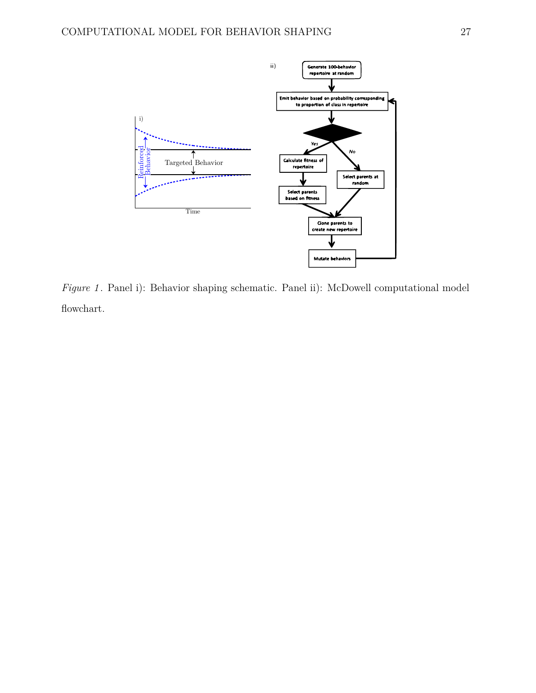

*Figure 1* . Panel i): Behavior shaping schematic. Panel ii): McDowell computational model flowchart.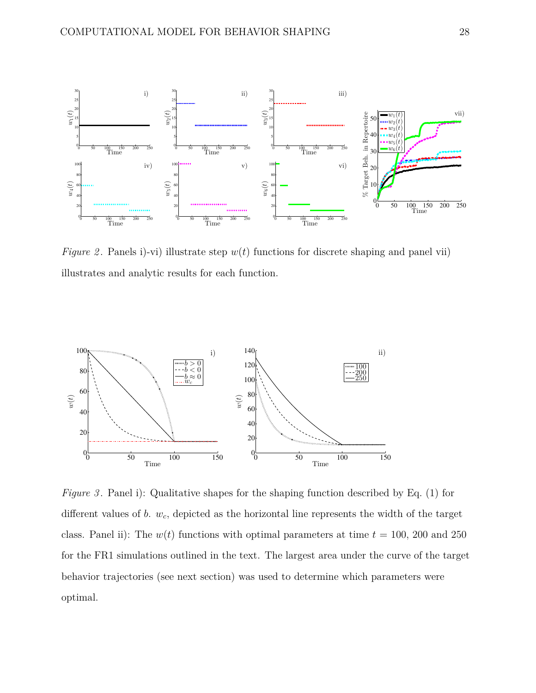

*Figure 2*. Panels i)-vi) illustrate step  $w(t)$  functions for discrete shaping and panel vii) illustrates and analytic results for each function.



*Figure 3*. Panel i): Qualitative shapes for the shaping function described by Eq. (1) for different values of *b*. *wc*, depicted as the horizontal line represents the width of the target class. Panel ii): The  $w(t)$  functions with optimal parameters at time  $t = 100$ , 200 and 250 for the FR1 simulations outlined in the text. The largest area under the curve of the target behavior trajectories (see next section) was used to determine which parameters were optimal.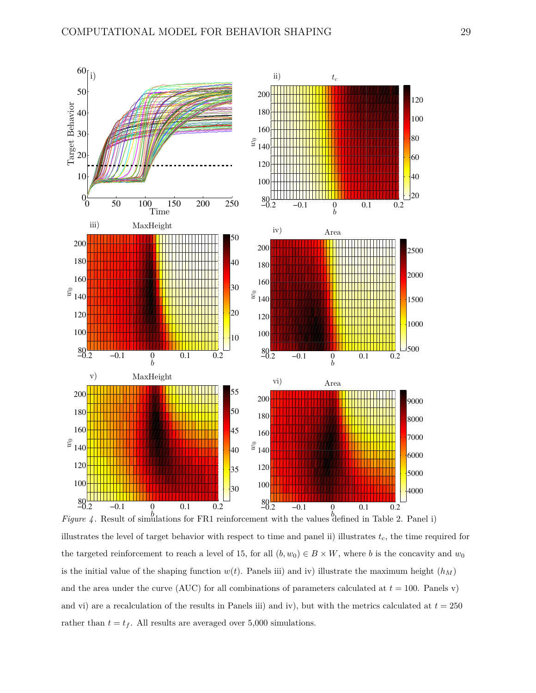

illustrates the level of target behavior with respect to time and panel ii) illustrates *tc*, the time required for the targeted reinforcement to reach a level of 15, for all  $(b, w_0) \in B \times W$ , where *b* is the concavity and  $w_0$ is the initial value of the shaping function  $w(t)$ . Panels iii) and iv) illustrate the maximum height  $(h_M)$ and the area under the curve (AUC) for all combinations of parameters calculated at  $t = 100$ . Panels v) and vi) are a recalculation of the results in Panels iii) and iv), but with the metrics calculated at  $t = 250$ rather than  $t = t_f$ . All results are averaged over 5,000 simulations.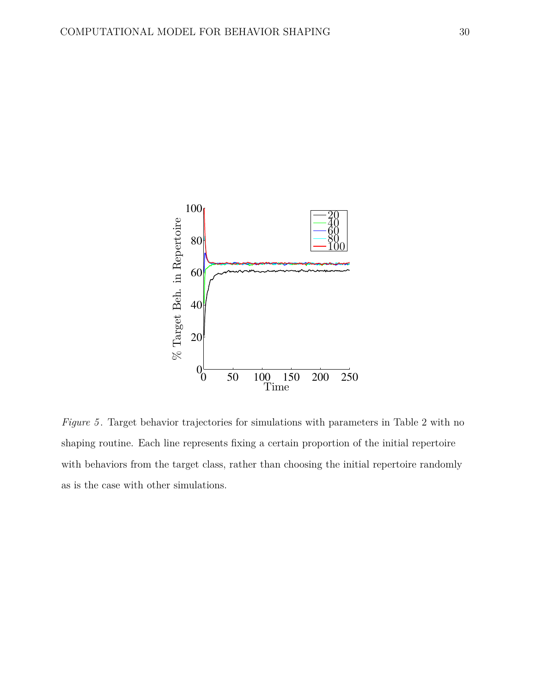

*Figure 5* . Target behavior trajectories for simulations with parameters in Table 2 with no shaping routine. Each line represents fixing a certain proportion of the initial repertoire with behaviors from the target class, rather than choosing the initial repertoire randomly as is the case with other simulations.